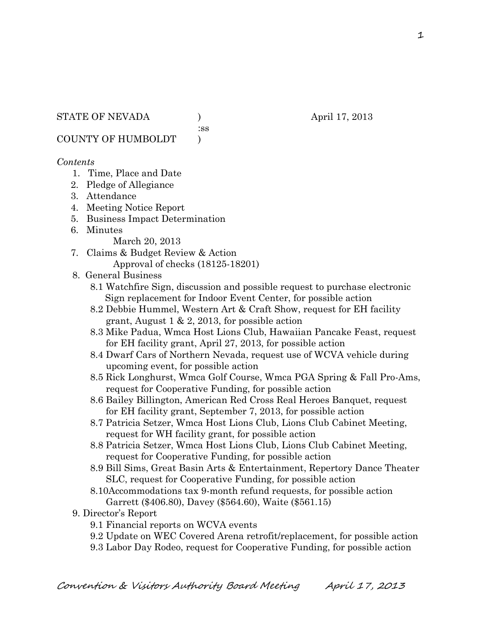:ss

COUNTY OF HUMBOLDT )

#### *Contents*

- 1. Time, Place and Date
- 2. Pledge of Allegiance
- 3. Attendance
- 4. Meeting Notice Report
- 5. Business Impact Determination
- 6. Minutes

March 20, 2013

- 7. Claims & Budget Review & Action Approval of checks (18125-18201)
- 8. General Business
	- 8.1 Watchfire Sign, discussion and possible request to purchase electronic Sign replacement for Indoor Event Center, for possible action
	- 8.2 Debbie Hummel, Western Art & Craft Show, request for EH facility grant, August 1 & 2, 2013, for possible action
	- 8.3 Mike Padua, Wmca Host Lions Club, Hawaiian Pancake Feast, request for EH facility grant, April 27, 2013, for possible action
	- 8.4 Dwarf Cars of Northern Nevada, request use of WCVA vehicle during upcoming event, for possible action
	- 8.5 Rick Longhurst, Wmca Golf Course, Wmca PGA Spring & Fall Pro-Ams, request for Cooperative Funding, for possible action
	- 8.6 Bailey Billington, American Red Cross Real Heroes Banquet, request for EH facility grant, September 7, 2013, for possible action
	- 8.7 Patricia Setzer, Wmca Host Lions Club, Lions Club Cabinet Meeting, request for WH facility grant, for possible action
	- 8.8 Patricia Setzer, Wmca Host Lions Club, Lions Club Cabinet Meeting, request for Cooperative Funding, for possible action
	- 8.9 Bill Sims, Great Basin Arts & Entertainment, Repertory Dance Theater SLC, request for Cooperative Funding, for possible action
	- 8.10Accommodations tax 9-month refund requests, for possible action Garrett (\$406.80), Davey (\$564.60), Waite (\$561.15)
- 9. Director's Report
	- 9.1 Financial reports on WCVA events
	- 9.2 Update on WEC Covered Arena retrofit/replacement, for possible action
	- 9.3 Labor Day Rodeo, request for Cooperative Funding, for possible action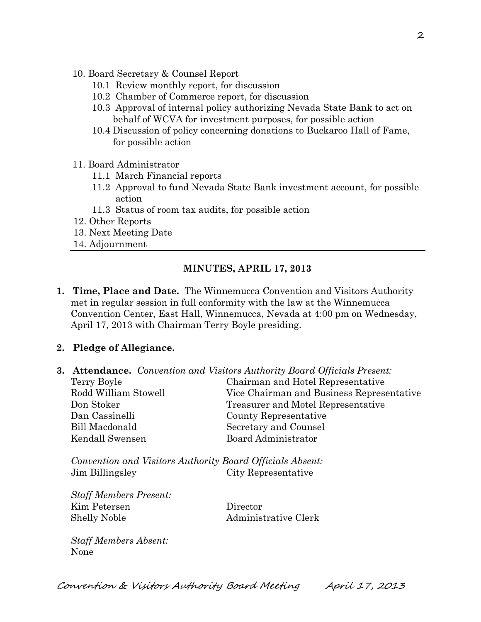- 10. Board Secretary & Counsel Report
	- 10.1 Review monthly report, for discussion
	- 10.2 Chamber of Commerce report, for discussion
	- 10.3 Approval of internal policy authorizing Nevada State Bank to act on behalf of WCVA for investment purposes, for possible action
	- 10.4 Discussion of policy concerning donations to Buckaroo Hall of Fame, for possible action
- 11. Board Administrator
	- 11.1 March Financial reports
	- 11.2 Approval to fund Nevada State Bank investment account, for possible action
	- 11.3 Status of room tax audits, for possible action
- 12. Other Reports
- 13. Next Meeting Date
- 14. Adjournment

## **MINUTES, APRIL 17, 2013**

**1. Time, Place and Date.** The Winnemucca Convention and Visitors Authority met in regular session in full conformity with the law at the Winnemucca Convention Center, East Hall, Winnemucca, Nevada at 4:00 pm on Wednesday, April 17, 2013 with Chairman Terry Boyle presiding.

### **2. Pledge of Allegiance.**

**3. Attendance.** *Convention and Visitors Authority Board Officials Present:*

| Terry Boyle          | Chairman and Hotel Representative         |  |
|----------------------|-------------------------------------------|--|
| Rodd William Stowell | Vice Chairman and Business Representative |  |
| Don Stoker           | Treasurer and Motel Representative        |  |
| Dan Cassinelli       | County Representative                     |  |
| Bill Macdonald       | Secretary and Counsel                     |  |
| Kendall Swensen      | Board Administrator                       |  |

*Convention and Visitors Authority Board Officials Absent:* Jim Billingsley City Representative

*Staff Members Present:* Kim Petersen Director Shelly Noble Administrative Clerk

*Staff Members Absent:* None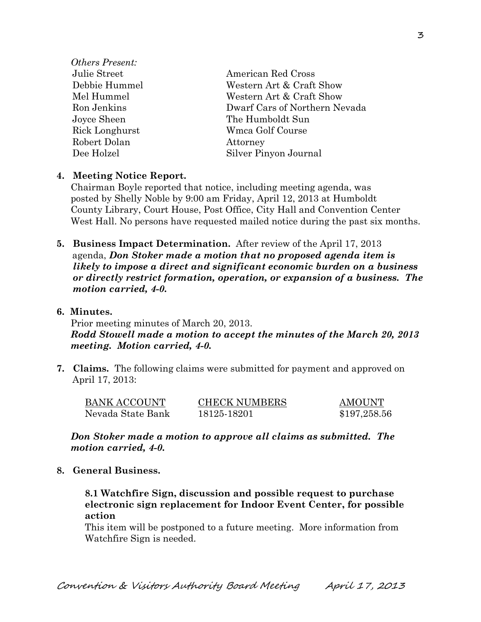| <i><b>Others Present:</b></i> |                               |  |
|-------------------------------|-------------------------------|--|
| Julie Street                  | American Red Cross            |  |
| Debbie Hummel                 | Western Art & Craft Show      |  |
| Mel Hummel                    | Western Art & Craft Show      |  |
| Ron Jenkins                   | Dwarf Cars of Northern Nevada |  |
| Joyce Sheen                   | The Humboldt Sun              |  |
| Rick Longhurst                | Wmca Golf Course              |  |
| Robert Dolan                  | Attorney                      |  |
| Dee Holzel                    | Silver Pinyon Journal         |  |
|                               |                               |  |

### **4. Meeting Notice Report.**

Chairman Boyle reported that notice, including meeting agenda, was posted by Shelly Noble by 9:00 am Friday, April 12, 2013 at Humboldt County Library, Court House, Post Office, City Hall and Convention Center West Hall. No persons have requested mailed notice during the past six months.

- **5. Business Impact Determination.** After review of the April 17, 2013 agenda, *Don Stoker made a motion that no proposed agenda item is likely to impose a direct and significant economic burden on a business or directly restrict formation, operation, or expansion of a business. The motion carried, 4-0.*
- **6. Minutes.**

Prior meeting minutes of March 20, 2013. *Rodd Stowell made a motion to accept the minutes of the March 20, 2013 meeting. Motion carried, 4-0.* 

**7. Claims.** The following claims were submitted for payment and approved on April 17, 2013:

| BANK ACCOUNT      | <b>CHECK NUMBERS</b> | <b>AMOUNT</b> |
|-------------------|----------------------|---------------|
| Nevada State Bank | 18125-18201          | \$197,258.56  |

*Don Stoker made a motion to approve all claims as submitted. The motion carried, 4-0.* 

**8. General Business.**

**8.1 Watchfire Sign, discussion and possible request to purchase electronic sign replacement for Indoor Event Center, for possible action**

This item will be postponed to a future meeting. More information from Watchfire Sign is needed.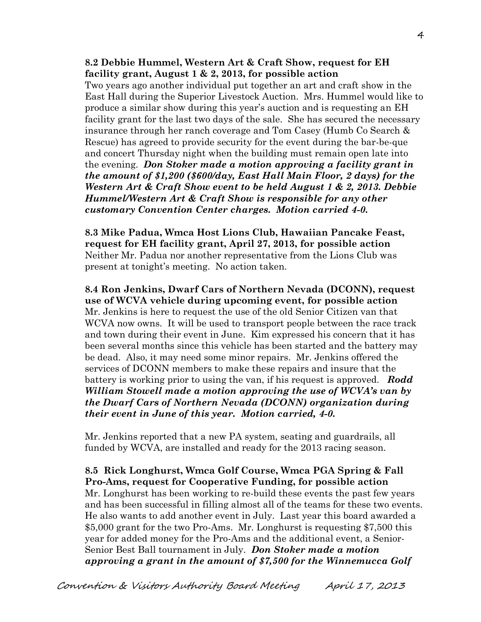### **8.2 Debbie Hummel, Western Art & Craft Show, request for EH facility grant, August 1 & 2, 2013, for possible action**

Two years ago another individual put together an art and craft show in the East Hall during the Superior Livestock Auction. Mrs. Hummel would like to produce a similar show during this year's auction and is requesting an EH facility grant for the last two days of the sale. She has secured the necessary insurance through her ranch coverage and Tom Casey (Humb Co Search & Rescue) has agreed to provide security for the event during the bar-be-que and concert Thursday night when the building must remain open late into the evening. *Don Stoker made a motion approving a facility grant in the amount of \$1,200 (\$600/day, East Hall Main Floor, 2 days) for the Western Art & Craft Show event to be held August 1 & 2, 2013. Debbie Hummel/Western Art & Craft Show is responsible for any other customary Convention Center charges. Motion carried 4-0.*

**8.3 Mike Padua, Wmca Host Lions Club, Hawaiian Pancake Feast, request for EH facility grant, April 27, 2013, for possible action** Neither Mr. Padua nor another representative from the Lions Club was present at tonight's meeting. No action taken.

**8.4 Ron Jenkins, Dwarf Cars of Northern Nevada (DCONN), request use of WCVA vehicle during upcoming event, for possible action**  Mr. Jenkins is here to request the use of the old Senior Citizen van that WCVA now owns. It will be used to transport people between the race track and town during their event in June. Kim expressed his concern that it has been several months since this vehicle has been started and the battery may be dead. Also, it may need some minor repairs. Mr. Jenkins offered the services of DCONN members to make these repairs and insure that the battery is working prior to using the van, if his request is approved. *Rodd William Stowell made a motion approving the use of WCVA's van by the Dwarf Cars of Northern Nevada (DCONN) organization during their event in June of this year. Motion carried, 4-0.*

Mr. Jenkins reported that a new PA system, seating and guardrails, all funded by WCVA, are installed and ready for the 2013 racing season.

**8.5 Rick Longhurst, Wmca Golf Course, Wmca PGA Spring & Fall Pro-Ams, request for Cooperative Funding, for possible action** Mr. Longhurst has been working to re-build these events the past few years and has been successful in filling almost all of the teams for these two events. He also wants to add another event in July. Last year this board awarded a \$5,000 grant for the two Pro-Ams. Mr. Longhurst is requesting \$7,500 this year for added money for the Pro-Ams and the additional event, a Senior-Senior Best Ball tournament in July. *Don Stoker made a motion approving a grant in the amount of \$7,500 for the Winnemucca Golf*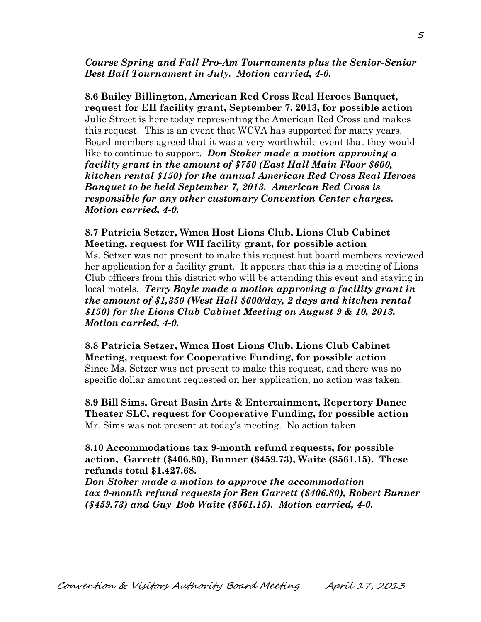*Course Spring and Fall Pro-Am Tournaments plus the Senior-Senior Best Ball Tournament in July. Motion carried, 4-0.* 

**8.6 Bailey Billington, American Red Cross Real Heroes Banquet, request for EH facility grant, September 7, 2013, for possible action** Julie Street is here today representing the American Red Cross and makes this request. This is an event that WCVA has supported for many years. Board members agreed that it was a very worthwhile event that they would like to continue to support. *Don Stoker made a motion approving a facility grant in the amount of \$750 (East Hall Main Floor \$600, kitchen rental \$150) for the annual American Red Cross Real Heroes Banquet to be held September 7, 2013. American Red Cross is responsible for any other customary Convention Center charges. Motion carried, 4-0.*

**8.7 Patricia Setzer, Wmca Host Lions Club, Lions Club Cabinet Meeting, request for WH facility grant, for possible action** Ms. Setzer was not present to make this request but board members reviewed her application for a facility grant. It appears that this is a meeting of Lions Club officers from this district who will be attending this event and staying in local motels. *Terry Boyle made a motion approving a facility grant in the amount of \$1,350 (West Hall \$600/day, 2 days and kitchen rental \$150) for the Lions Club Cabinet Meeting on August 9 & 10, 2013. Motion carried, 4-0.* 

**8.8 Patricia Setzer, Wmca Host Lions Club, Lions Club Cabinet Meeting, request for Cooperative Funding, for possible action** Since Ms. Setzer was not present to make this request, and there was no specific dollar amount requested on her application, no action was taken.

**8.9 Bill Sims, Great Basin Arts & Entertainment, Repertory Dance Theater SLC, request for Cooperative Funding, for possible action** Mr. Sims was not present at today's meeting. No action taken.

**8.10 Accommodations tax 9-month refund requests, for possible action, Garrett (\$406.80), Bunner (\$459.73), Waite (\$561.15). These refunds total \$1,427.68.**

*Don Stoker made a motion to approve the accommodation tax 9-month refund requests for Ben Garrett (\$406.80), Robert Bunner (\$459.73) and Guy Bob Waite (\$561.15). Motion carried, 4-0.*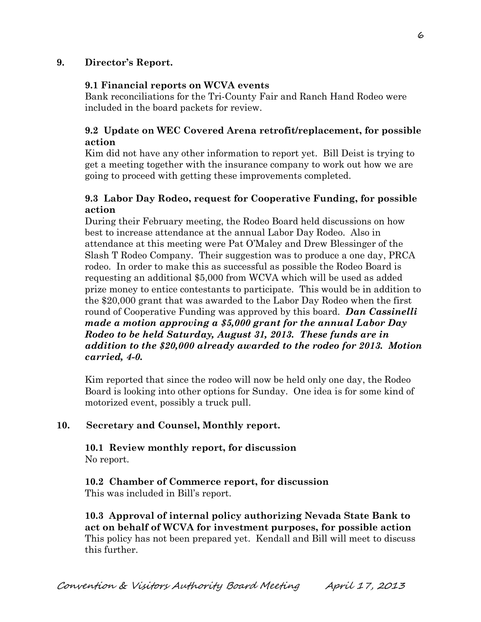## **9. Director's Report.**

### **9.1 Financial reports on WCVA events**

Bank reconciliations for the Tri-County Fair and Ranch Hand Rodeo were included in the board packets for review.

## **9.2 Update on WEC Covered Arena retrofit/replacement, for possible action**

Kim did not have any other information to report yet. Bill Deist is trying to get a meeting together with the insurance company to work out how we are going to proceed with getting these improvements completed.

## **9.3 Labor Day Rodeo, request for Cooperative Funding, for possible action**

During their February meeting, the Rodeo Board held discussions on how best to increase attendance at the annual Labor Day Rodeo. Also in attendance at this meeting were Pat O'Maley and Drew Blessinger of the Slash T Rodeo Company. Their suggestion was to produce a one day, PRCA rodeo. In order to make this as successful as possible the Rodeo Board is requesting an additional \$5,000 from WCVA which will be used as added prize money to entice contestants to participate. This would be in addition to the \$20,000 grant that was awarded to the Labor Day Rodeo when the first round of Cooperative Funding was approved by this board. *Dan Cassinelli made a motion approving a \$5,000 grant for the annual Labor Day Rodeo to be held Saturday, August 31, 2013. These funds are in addition to the \$20,000 already awarded to the rodeo for 2013. Motion carried, 4-0.* 

Kim reported that since the rodeo will now be held only one day, the Rodeo Board is looking into other options for Sunday. One idea is for some kind of motorized event, possibly a truck pull.

### **10. Secretary and Counsel, Monthly report.**

**10.1 Review monthly report, for discussion** No report.

**10.2 Chamber of Commerce report, for discussion** This was included in Bill's report.

**10.3 Approval of internal policy authorizing Nevada State Bank to act on behalf of WCVA for investment purposes, for possible action** This policy has not been prepared yet. Kendall and Bill will meet to discuss this further.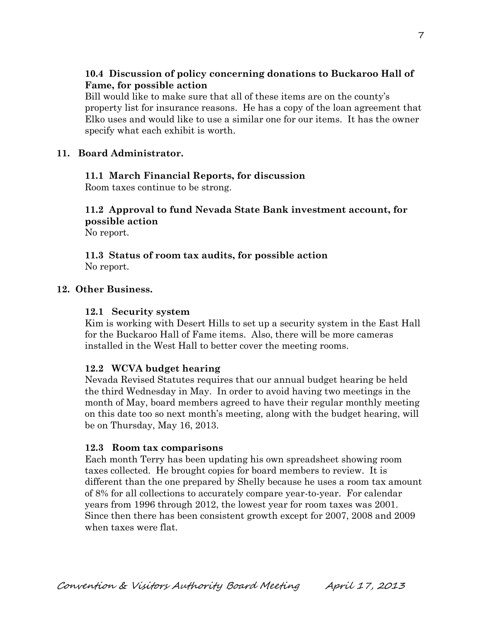## **10.4 Discussion of policy concerning donations to Buckaroo Hall of Fame, for possible action**

 Bill would like to make sure that all of these items are on the county's property list for insurance reasons. He has a copy of the loan agreement that Elko uses and would like to use a similar one for our items. It has the owner specify what each exhibit is worth.

### **11. Board Administrator.**

### **11.1 March Financial Reports, for discussion**

Room taxes continue to be strong.

# **11.2 Approval to fund Nevada State Bank investment account, for possible action**

No report.

### **11.3 Status of room tax audits, for possible action** No report.

## **12. Other Business.**

### **12.1 Security system**

Kim is working with Desert Hills to set up a security system in the East Hall for the Buckaroo Hall of Fame items. Also, there will be more cameras installed in the West Hall to better cover the meeting rooms.

### **12.2 WCVA budget hearing**

Nevada Revised Statutes requires that our annual budget hearing be held the third Wednesday in May. In order to avoid having two meetings in the month of May, board members agreed to have their regular monthly meeting on this date too so next month's meeting, along with the budget hearing, will be on Thursday, May 16, 2013.

### **12.3 Room tax comparisons**

Each month Terry has been updating his own spreadsheet showing room taxes collected. He brought copies for board members to review. It is different than the one prepared by Shelly because he uses a room tax amount of 8% for all collections to accurately compare year-to-year. For calendar years from 1996 through 2012, the lowest year for room taxes was 2001. Since then there has been consistent growth except for 2007, 2008 and 2009 when taxes were flat.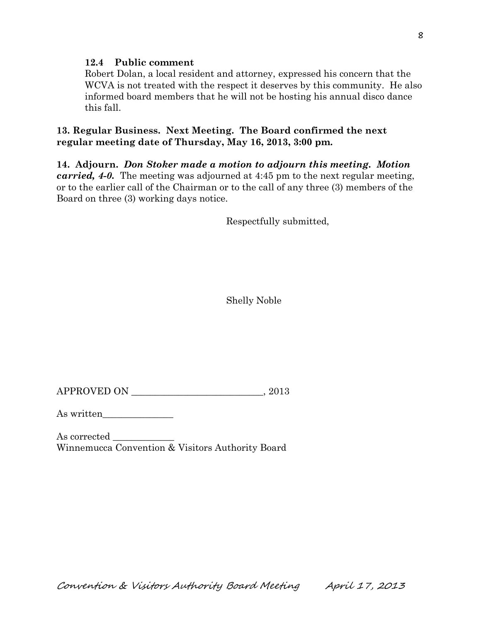### **12.4 Public comment**

Robert Dolan, a local resident and attorney, expressed his concern that the WCVA is not treated with the respect it deserves by this community. He also informed board members that he will not be hosting his annual disco dance this fall.

**13. Regular Business. Next Meeting. The Board confirmed the next regular meeting date of Thursday, May 16, 2013, 3:00 pm.** 

**14. Adjourn.** *Don Stoker made a motion to adjourn this meeting. Motion carried, 4-0.* The meeting was adjourned at 4:45 pm to the next regular meeting, or to the earlier call of the Chairman or to the call of any three (3) members of the Board on three (3) working days notice.

Respectfully submitted,

Shelly Noble

APPROVED ON \_\_\_\_\_\_\_\_\_\_\_\_\_\_\_\_\_\_\_\_\_\_\_\_\_\_\_\_, 2013

As written\_\_\_\_\_\_\_\_\_\_\_\_\_\_\_

As corrected Winnemucca Convention & Visitors Authority Board